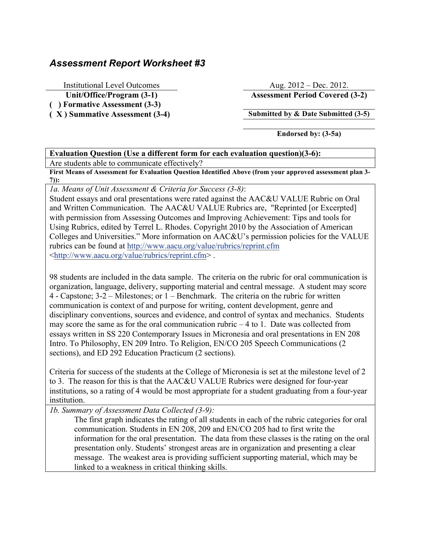## *Assessment Report Worksheet #3*

**( ) Formative Assessment (3-3)**

Institutional Level Outcomes Aug. 2012 – Dec. 2012. **Unit/Office/Program (3-1) Assessment Period Covered (3-2)**

**( X ) Summative Assessment (3-4) Submitted by & Date Submitted (3-5)**

**Endorsed by: (3-5a)**

## **Evaluation Question (Use a different form for each evaluation question)(3-6):** Are students able to communicate effectively?

**First Means of Assessment for Evaluation Question Identified Above (from your approved assessment plan 3- 7)):**

*1a. Means of Unit Assessment & Criteria for Success (3-8)*:

Student essays and oral presentations were rated against the AAC&U VALUE Rubric on Oral and Written Communication. The AAC&U VALUE Rubrics are, "Reprinted [or Excerpted] with permission from Assessing Outcomes and Improving Achievement: Tips and tools for Using Rubrics, edited by Terrel L. Rhodes. Copyright 2010 by the Association of American Colleges and Universities." More information on AAC&U's permission policies for the VALUE rubrics can be found at http://www.aacu.org/value/rubrics/reprint.cfm <http://www.aacu.org/value/rubrics/reprint.cfm> .

98 students are included in the data sample. The criteria on the rubric for oral communication is organization, language, delivery, supporting material and central message. A student may score 4 - Capstone; 3-2 – Milestones; or 1 – Benchmark. The criteria on the rubric for written communication is context of and purpose for writing, content development, genre and disciplinary conventions, sources and evidence, and control of syntax and mechanics. Students may score the same as for the oral communication rubric  $-4$  to 1. Date was collected from essays written in SS 220 Contemporary Issues in Micronesia and oral presentations in EN 208 Intro. To Philosophy, EN 209 Intro. To Religion, EN/CO 205 Speech Communications (2 sections), and ED 292 Education Practicum (2 sections).

Criteria for success of the students at the College of Micronesia is set at the milestone level of 2 to 3. The reason for this is that the AAC&U VALUE Rubrics were designed for four-year institutions, so a rating of 4 would be most appropriate for a student graduating from a four-year institution.

*1b. Summary of Assessment Data Collected (3-9):*

The first graph indicates the rating of all students in each of the rubric categories for oral communication. Students in EN 208, 209 and EN/CO 205 had to first write the information for the oral presentation. The data from these classes is the rating on the oral presentation only. Students' strongest areas are in organization and presenting a clear message. The weakest area is providing sufficient supporting material, which may be linked to a weakness in critical thinking skills.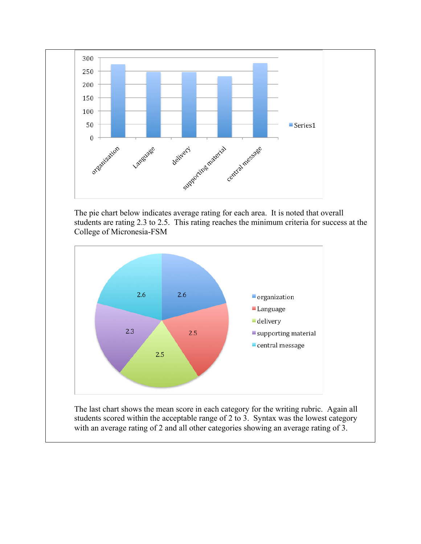

The pie chart below indicates average rating for each area. It is noted that overall students are rating 2.3 to 2.5. This rating reaches the minimum criteria for success at the College of Micronesia-FSM



The last chart shows the mean score in each category for the writing rubric. Again all students scored within the acceptable range of 2 to 3. Syntax was the lowest category with an average rating of 2 and all other categories showing an average rating of 3.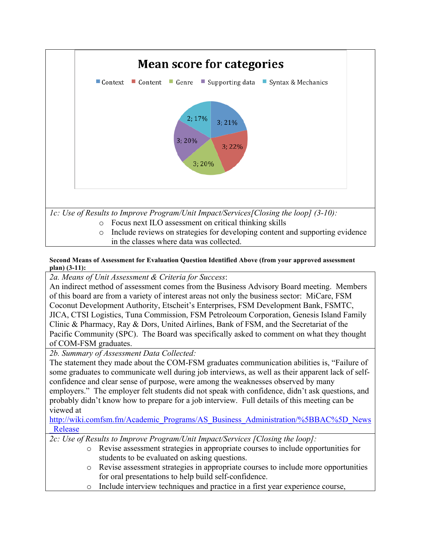

## **Second Means of Assessment for Evaluation Question Identified Above (from your approved assessment plan) (3-11):**

*2a. Means of Unit Assessment & Criteria for Success*:

An indirect method of assessment comes from the Business Advisory Board meeting. Members of this board are from a variety of interest areas not only the business sector: MiCare, FSM Coconut Development Authority, Etscheit's Enterprises, FSM Development Bank, FSMTC, JICA, CTSI Logistics, Tuna Commission, FSM Petroleoum Corporation, Genesis Island Family Clinic & Pharmacy, Ray & Dors, United Airlines, Bank of FSM, and the Secretariat of the Pacific Community (SPC). The Board was specifically asked to comment on what they thought of COM-FSM graduates.

*2b. Summary of Assessment Data Collected:*

The statement they made about the COM-FSM graduates communication abilities is, "Failure of some graduates to communicate well during job interviews, as well as their apparent lack of selfconfidence and clear sense of purpose, were among the weaknesses observed by many employers." The employer felt students did not speak with confidence, didn't ask questions, and probably didn't know how to prepare for a job interview. Full details of this meeting can be viewed at

http://wiki.comfsm.fm/Academic\_Programs/AS\_Business\_Administration/%5BBAC%5D\_News \_Release

*2c: Use of Results to Improve Program/Unit Impact/Services [Closing the loop]:*

- o Revise assessment strategies in appropriate courses to include opportunities for students to be evaluated on asking questions.
- o Revise assessment strategies in appropriate courses to include more opportunities for oral presentations to help build self-confidence.
- o Include interview techniques and practice in a first year experience course,